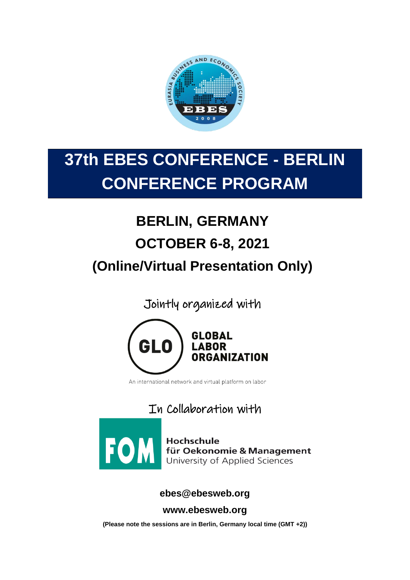

# **37th EBES CONFERENCE - BERLIN CONFERENCE PROGRAM**

# **BERLIN, GERMANY**

# **OCTOBER 6-8, 2021**

# **(Online/Virtual Presentation Only)**

Jointly organized with



An international network and virtual platform on labor

In Collaboration with



Hochschule<br>
für Oekonomie & Management<br>
University of Applied Sciences

# **[ebes@ebesweb.org](mailto:ebes@ebesweb.org)**

**www.ebesweb.org**

**(Please note the sessions are in Berlin, Germany local time (GMT +2))**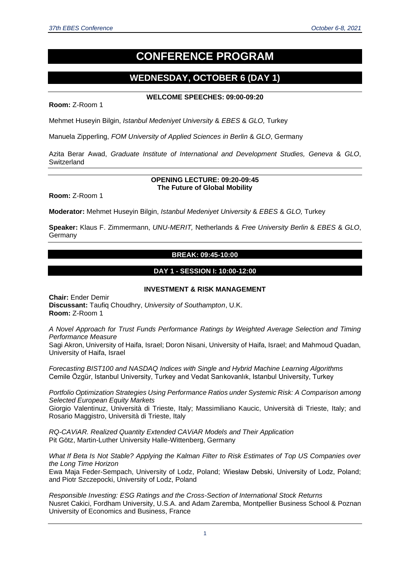## **CONFERENCE PROGRAM**

### **WEDNESDAY, OCTOBER 6 (DAY 1)**

**WELCOME SPEECHES: 09:00-09:20**

**Room:** Z-Room 1

Mehmet Huseyin Bilgin, *Istanbul Medeniyet University* & *EBES* & *GLO,* Turkey

Manuela Zipperling, *FOM University of Applied Sciences in Berlin* & *GLO*, Germany

Azita Berar Awad, *Graduate Institute of International and Development Studies, Geneva* & *GLO*, **Switzerland** 

#### **OPENING LECTURE: 09:20-09:45 The Future of Global Mobility**

**Room:** Z-Room 1

**Moderator:** Mehmet Huseyin Bilgin, *Istanbul Medeniyet University* & *EBES* & *GLO,* Turkey

**Speaker:** Klaus F. Zimmermann, *UNU-MERIT,* Netherlands & *Free University Berlin* & *EBES* & *GLO*, **Germany** 

#### **BREAK: 09:45-10:00**

#### **DAY 1 - SESSION I: 10:00-12:00**

#### **INVESTMENT & RISK MANAGEMENT**

**Chair:** Ender Demir **Discussant:** Taufiq Choudhry, *University of Southampton*, U.K. **Room:** Z-Room 1

*A Novel Approach for Trust Funds Performance Ratings by Weighted Average Selection and Timing Performance Measure*

Sagi Akron, University of Haifa, Israel; Doron Nisani, University of Haifa, Israel; and Mahmoud Quadan, University of Haifa, Israel

*Forecasting BIST100 and NASDAQ Indices with Single and Hybrid Machine Learning Algorithms* Cemile Özgür, Istanbul University, Turkey and Vedat Sarıkovanlık, Istanbul University, Turkey

*Portfolio Optimization Strategies Using Performance Ratios under Systemic Risk: A Comparison among Selected European Equity Markets*

Giorgio Valentinuz, Università di Trieste, Italy; Massimiliano Kaucic, Università di Trieste, Italy; and Rosario Maggistro, Università di Trieste, Italy

*RQ-CAViAR. Realized Quantity Extended CAViAR Models and Their Application* Pit Götz, Martin-Luther University Halle-Wittenberg, Germany

*What If Beta Is Not Stable? Applying the Kalman Filter to Risk Estimates of Top US Companies over the Long Time Horizon*

Ewa Maja Feder-Sempach, University of Lodz, Poland; Wiesław Debski, University of Lodz, Poland; and Piotr Szczepocki, University of Lodz, Poland

*Responsible Investing: ESG Ratings and the Cross-Section of International Stock Returns* Nusret Cakici, Fordham University, U.S.A. and Adam Zaremba, Montpellier Business School & Poznan University of Economics and Business, France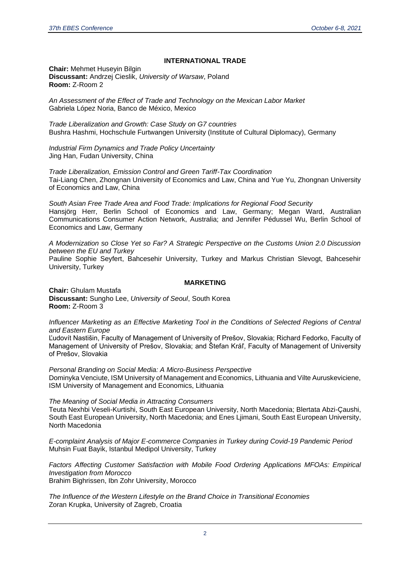#### **INTERNATIONAL TRADE**

**Chair:** Mehmet Huseyin Bilgin **Discussant:** Andrzej Cieslik, *University of Warsaw*, Poland **Room:** Z-Room 2

*An Assessment of the Effect of Trade and Technology on the Mexican Labor Market* Gabriela López Noria, Banco de México, Mexico

*Trade Liberalization and Growth: Case Study on G7 countries* Bushra Hashmi, Hochschule Furtwangen University (Institute of Cultural Diplomacy), Germany

*Industrial Firm Dynamics and Trade Policy Uncertainty* Jing Han, Fudan University, China

*Trade Liberalization, Emission Control and Green Tariff-Tax Coordination* Tai-Liang Chen, Zhongnan University of Economics and Law, China and Yue Yu, Zhongnan University of Economics and Law, China

*South Asian Free Trade Area and Food Trade: Implications for Regional Food Security* Hansjörg Herr, Berlin School of Economics and Law, Germany; Megan Ward, Australian Communications Consumer Action Network, Australia; and Jennifer Pédussel Wu, Berlin School of Economics and Law, Germany

*A Modernization so Close Yet so Far? A Strategic Perspective on the Customs Union 2.0 Discussion between the EU and Turkey* Pauline Sophie Seyfert, Bahcesehir University, Turkey and Markus Christian Slevogt, Bahcesehir University, Turkey

#### **MARKETING**

**Chair:** Ghulam Mustafa **Discussant:** Sungho Lee, *University of Seoul*, South Korea **Room:** Z-Room 3

*Influencer Marketing as an Effective Marketing Tool in the Conditions of Selected Regions of Central and Eastern Europe*

Ľudovít Nastišin, Faculty of Management of University of Prešov, Slovakia; Richard Fedorko, Faculty of Management of University of Prešov, Slovakia; and Štefan Kráľ, Faculty of Management of University of Prešov, Slovakia

*Personal Branding on Social Media: A Micro-Business Perspective* Dominyka Venciute, ISM University of Management and Economics, Lithuania and Vilte Auruskeviciene, ISM University of Management and Economics, Lithuania

*The Meaning of Social Media in Attracting Consumers* Teuta Nexhbi Veseli-Kurtishi, South East European University, North Macedonia; Blertata Abzi-Çaushi, South East European University, North Macedonia; and Enes Ljimani, South East European University, North Macedonia

*E-complaint Analysis of Major E-commerce Companies in Turkey during Covid-19 Pandemic Period* Muhsin Fuat Bayik, Istanbul Medipol University, Turkey

*Factors Affecting Customer Satisfaction with Mobile Food Ordering Applications MFOAs: Empirical Investigation from Morocco* Brahim Bighrissen, Ibn Zohr University, Morocco

*The Influence of the Western Lifestyle on the Brand Choice in Transitional Economies* Zoran Krupka, University of Zagreb, Croatia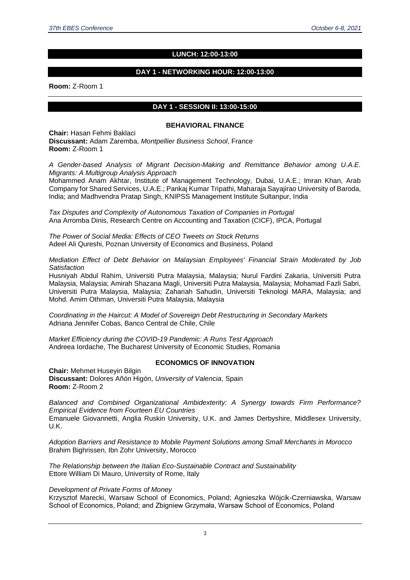#### **LUNCH: 12:00-13:00**

#### **DAY 1 - NETWORKING HOUR: 12:00-13:00**

**Room:** Z-Room 1

#### **DAY 1 - SESSION II: 13:00-15:00**

#### **BEHAVIORAL FINANCE**

**Chair:** Hasan Fehmi Baklaci **Discussant:** Adam Zaremba, *Montpellier Business School*, France **Room:** Z-Room 1

*A Gender-based Analysis of Migrant Decision-Making and Remittance Behavior among U.A.E. Migrants: A Multigroup Analysis Approach*

Mohammed Anam Akhtar, Institute of Management Technology, Dubai, U.A.E.; Imran Khan, Arab Company for Shared Services, U.A.E.; Pankaj Kumar Tripathi, Maharaja Sayajirao University of Baroda, India; and Madhvendra Pratap Singh, KNIPSS Management Institute Sultanpur, India

*Tax Disputes and Complexity of Autonomous Taxation of Companies in Portugal* Ana Arromba Dinis, Research Centre on Accounting and Taxation (CICF), IPCA, Portugal

*The Power of Social Media: Effects of CEO Tweets on Stock Returns* Adeel Ali Qureshi, Poznan University of Economics and Business, Poland

#### *Mediation Effect of Debt Behavior on Malaysian Employees' Financial Strain Moderated by Job Satisfaction*

Husniyah Abdul Rahim, Universiti Putra Malaysia, Malaysia; Nurul Fardini Zakaria, Universiti Putra Malaysia, Malaysia; Amirah Shazana Magli, Universiti Putra Malaysia, Malaysia; Mohamad Fazli Sabri, Universiti Putra Malaysia, Malaysia; Zahariah Sahudin, Universiti Teknologi MARA, Malaysia; and Mohd. Amim Othman, Universiti Putra Malaysia, Malaysia

*Coordinating in the Haircut: A Model of Sovereign Debt Restructuring in Secondary Markets* Adriana Jennifer Cobas, Banco Central de Chile, Chile

*Market Efficiency during the COVID-19 Pandemic: A Runs Test Approach* Andreea Iordache, The Bucharest University of Economic Studies, Romania

#### **ECONOMICS OF INNOVATION**

**Chair:** Mehmet Huseyin Bilgin **Discussant:** Dolores Añón Higón, *University of Valencia*, Spain **Room:** Z-Room 2

*Balanced and Combined Organizational Ambidexterity: A Synergy towards Firm Performance? Empirical Evidence from Fourteen EU Countries*

Emanuele Giovannetti, Anglia Ruskin University, U.K. and James Derbyshire, Middlesex University, U.K.

*Adoption Barriers and Resistance to Mobile Payment Solutions among Small Merchants in Morocco* Brahim Bighrissen, Ibn Zohr University, Morocco

*The Relationship between the Italian Eco-Sustainable Contract and Sustainability* Ettore William Di Mauro, University of Rome, Italy

#### *Development of Private Forms of Money*

Krzysztof Marecki, Warsaw School of Economics, Poland; Agnieszka Wójcik-Czerniawska, Warsaw School of Economics, Poland; and Zbigniew Grzymała, Warsaw School of Economics, Poland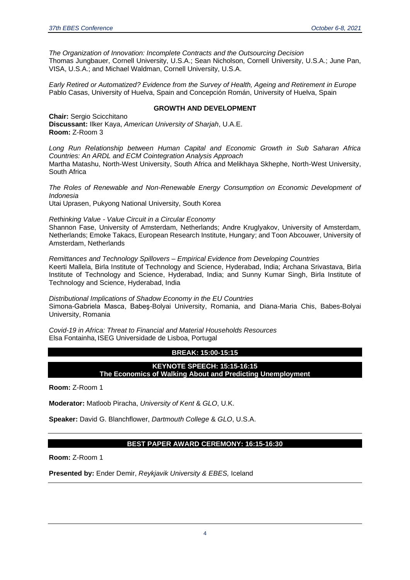*The Organization of Innovation: Incomplete Contracts and the Outsourcing Decision* Thomas Jungbauer, Cornell University, U.S.A.; Sean Nicholson, Cornell University, U.S.A.; June Pan, VISA, U.S.A.; and Michael Waldman, Cornell University, U.S.A.

*Early Retired or Automatized? Evidence from the Survey of Health, Ageing and Retirement in Europe* Pablo Casas, University of Huelva, Spain and Concepción Román, University of Huelva, Spain

#### **GROWTH AND DEVELOPMENT**

**Chair:** Sergio Scicchitano **Discussant:** Ilker Kaya, *American University of Sharjah*, U.A.E. **Room:** Z-Room 3

*Long Run Relationship between Human Capital and Economic Growth in Sub Saharan Africa Countries: An ARDL and ECM Cointegration Analysis Approach* Martha Matashu, North-West University, South Africa and Melikhaya Skhephe, North-West University, South Africa

*The Roles of Renewable and Non-Renewable Energy Consumption on Economic Development of Indonesia*

Utai Uprasen, Pukyong National University, South Korea

*Rethinking Value - Value Circuit in a Circular Economy*

Shannon Fase, University of Amsterdam, Netherlands; Andre Kruglyakov, University of Amsterdam, Netherlands; Emoke Takacs, European Research Institute, Hungary; and Toon Abcouwer, University of Amsterdam, Netherlands

*Remittances and Technology Spillovers – Empirical Evidence from Developing Countries* Keerti Mallela, Birla Institute of Technology and Science, Hyderabad, India; Archana Srivastava, Birla Institute of Technology and Science, Hyderabad, India; and Sunny Kumar Singh, Birla Institute of Technology and Science, Hyderabad, India

*Distributional Implications of Shadow Economy in the EU Countries* Simona-Gabriela Masca, Babeş-Bolyai University, Romania, and Diana-Maria Chis, Babes-Bolyai University, Romania

*Covid-19 in Africa: Threat to Financial and Material Households Resources*  Elsa Fontainha,ISEG Universidade de Lisboa, Portugal

#### **BREAK: 15:00-15:15**

**KEYNOTE SPEECH: 15:15-16:15 The Economics of Walking About and Predicting Unemployment**

**Room:** Z-Room 1

**Moderator:** Matloob Piracha, *University of Kent* & *GLO*, U.K.

**Speaker:** David G. Blanchflower, *Dartmouth College* & *GLO*, U.S.A.

#### **BEST PAPER AWARD CEREMONY: 16:15-16:30**

**Room:** Z-Room 1

**Presented by:** Ender Demir, *Reykjavik University & EBES,* Iceland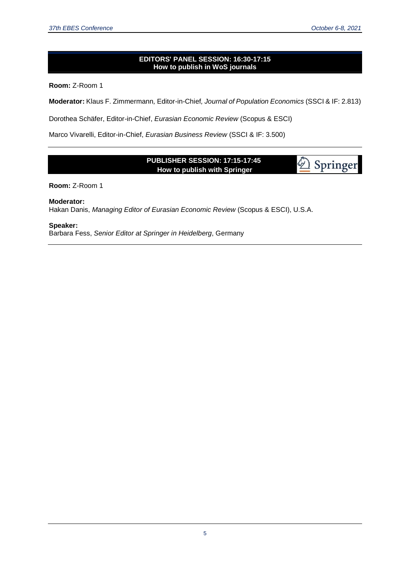#### **EDITORS' PANEL SESSION: 16:30-17:15 How to publish in WoS journals**

**Room:** Z-Room 1

**Moderator:** Klaus F. Zimmermann*,* Editor-in-Chief*, Journal of Population Economics* (SSCI & IF: 2.813)

Dorothea Schäfer, Editor-in-Chief, *Eurasian Economic Review* (Scopus & ESCI)

Marco Vivarelli, Editor-in-Chief, *Eurasian Business Review* (SSCI & IF: 3.500)

#### **PUBLISHER SESSION: 17:15-17:45 How to publish with Springer**

Springer

**Room:** Z-Room 1

#### **Moderator:**

Hakan Danis, *Managing Editor of Eurasian Economic Review* (Scopus & ESCI), U.S.A.

#### **Speaker:**

Barbara Fess, *Senior Editor at Springer in Heidelberg*, Germany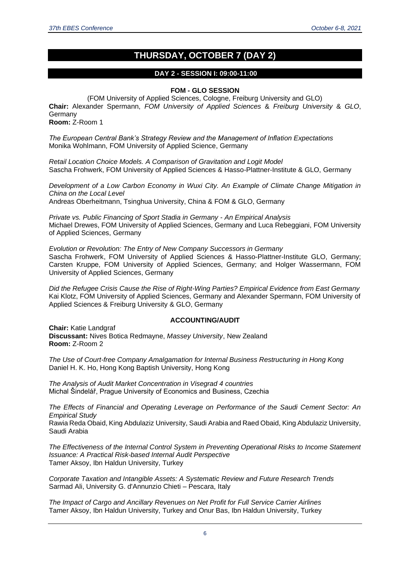### **THURSDAY, OCTOBER 7 (DAY 2)**

#### **DAY 2 - SESSION I: 09:00-11:00**

#### **FOM - GLO SESSION**

(FOM University of Applied Sciences, Cologne, Freiburg University and GLO) **Chair:** Alexander Spermann, *FOM University of Applied Sciences* & *Freiburg University* & *GLO*, Germany **Room:** Z-Room 1

*The European Central Bank's Strategy Review and the Management of Inflation Expectations* Monika Wohlmann, FOM University of Applied Science, Germany

*Retail Location Choice Models. A Comparison of Gravitation and Logit Model* Sascha Frohwerk, FOM University of Applied Sciences & Hasso-Plattner-Institute & GLO, Germany

*Development of a Low Carbon Economy in Wuxi City. An Example of Climate Change Mitigation in China on the Local Level* Andreas Oberheitmann, Tsinghua University, China & FOM & GLO, Germany

*Private vs. Public Financing of Sport Stadia in Germany - An Empirical Analysis* Michael Drewes, FOM University of Applied Sciences, Germany and Luca Rebeggiani, FOM University of Applied Sciences, Germany

*Evolution or Revolution: The Entry of New Company Successors in Germany* Sascha Frohwerk, FOM University of Applied Sciences & Hasso-Plattner-Institute GLO, Germany; Carsten Kruppe, FOM University of Applied Sciences, Germany; and Holger Wassermann, FOM University of Applied Sciences, Germany

*Did the Refugee Crisis Cause the Rise of Right-Wing Parties? Empirical Evidence from East Germany*  Kai Klotz, FOM University of Applied Sciences, Germany and Alexander Spermann, FOM University of Applied Sciences & Freiburg University & GLO, Germany

#### **ACCOUNTING/AUDIT**

**Chair:** Katie Landgraf **Discussant:** Nives Botica Redmayne, *Massey University*, New Zealand **Room:** Z-Room 2

*The Use of Court-free Company Amalgamation for Internal Business Restructuring in Hong Kong* Daniel H. K. Ho, Hong Kong Baptish University, Hong Kong

*The Analysis of Audit Market Concentration in Visegrad 4 countries* Michal Šindelář, Prague University of Economics and Business, Czechia

*The Effects of Financial and Operating Leverage on Performance of the Saudi Cement Sector: An Empirical Study*

Rawia Reda Obaid, King Abdulaziz University, Saudi Arabia and Raed Obaid, King Abdulaziz University, Saudi Arabia

*The Effectiveness of the Internal Control System in Preventing Operational Risks to Income Statement Issuance: A Practical Risk-based Internal Audit Perspective* Tamer Aksoy, Ibn Haldun University, Turkey

*Corporate Taxation and Intangible Assets: A Systematic Review and Future Research Trends* Sarmad Ali, University G. d'Annunzio Chieti – Pescara, Italy

*The Impact of Cargo and Ancillary Revenues on Net Profit for Full Service Carrier Airlines* Tamer Aksoy, Ibn Haldun University, Turkey and Onur Bas, Ibn Haldun University, Turkey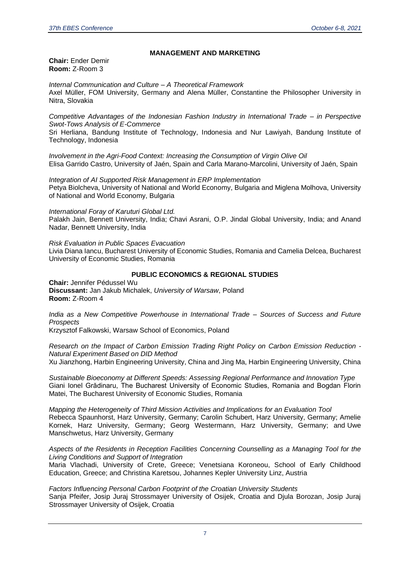#### **MANAGEMENT AND MARKETING**

**Chair:** Ender Demir **Room:** Z-Room 3

*Internal Communication and Culture – A Theoretical Framework* Axel Müller, FOM University, Germany and Alena Müller, Constantine the Philosopher University in Nitra, Slovakia

*Competitive Advantages of the Indonesian Fashion Industry in International Trade – in Perspective Swot-Tows Analysis of E-Commerce*

Sri Herliana, Bandung Institute of Technology, Indonesia and Nur Lawiyah, Bandung Institute of Technology, Indonesia

*Involvement in the Agri-Food Context: Increasing the Consumption of Virgin Olive Oil* Elisa Garrido Castro, University of Jaén, Spain and Carla Marano-Marcolini, University of Jaén, Spain

*Integration of AI Supported Risk Management in ERP Implementation* Petya Biolcheva, University of National and World Economy, Bulgaria and Miglena Molhova, University of National and World Economy, Bulgaria

*International Foray of Karuturi Global Ltd.*

Palakh Jain, Bennett University, India; Chavi Asrani, O.P. Jindal Global University, India; and Anand Nadar, Bennett University, India

*Risk Evaluation in Public Spaces Evacuation* Livia Diana Iancu, Bucharest University of Economic Studies, Romania and Camelia Delcea, Bucharest University of Economic Studies, Romania

#### **PUBLIC ECONOMICS & REGIONAL STUDIES**

**Chair:** Jennifer Pédussel Wu **Discussant:** Jan Jakub Michalek, *University of Warsaw*, Poland **Room:** Z-Room 4

*India as a New Competitive Powerhouse in International Trade – Sources of Success and Future Prospects*

Krzysztof Falkowski, Warsaw School of Economics, Poland

*Research on the Impact of Carbon Emission Trading Right Policy on Carbon Emission Reduction - Natural Experiment Based on DID Method* Xu Jianzhong, Harbin Engineering University, China and Jing Ma, Harbin Engineering University, China

*Sustainable Bioeconomy at Different Speeds: Assessing Regional Performance and Innovation Type* Giani Ionel Grădinaru, The Bucharest University of Economic Studies, Romania and Bogdan Florin Matei, The Bucharest University of Economic Studies, Romania

*Mapping the Heterogeneity of Third Mission Activities and Implications for an Evaluation Tool* Rebecca Spaunhorst, Harz University, Germany; Carolin Schubert, Harz University, Germany; Amelie Kornek, Harz University, Germany; Georg Westermann, Harz University, Germany; and Uwe Manschwetus, Harz University, Germany

*Aspects of the Residents in Reception Facilities Concerning Counselling as a Managing Tool for the Living Conditions and Support of Integration*

Maria Vlachadi, University of Crete, Greece; Venetsiana Koroneou, School of Early Childhood Education, Greece; and Christina Karetsou, Johannes Kepler University Linz, Austria

*Factors Influencing Personal Carbon Footprint of the Croatian University Students*

Sanja Pfeifer, Josip Juraj Strossmayer University of Osijek, Croatia and Djula Borozan, Josip Juraj Strossmayer University of Osijek, Croatia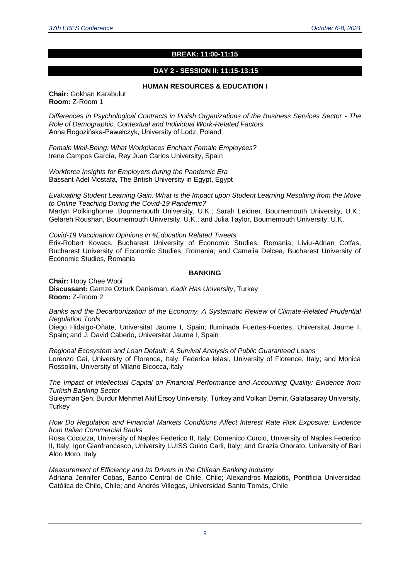#### **BREAK: 11:00-11:15**

#### **DAY 2 - SESSION II: 11:15-13:15**

#### **HUMAN RESOURCES & EDUCATION I**

**Chair:** Gokhan Karabulut **Room:** Z-Room 1

*Differences in Psychological Contracts in Polish Organizations of the Business Services Sector - The Role of Demographic, Contextual and Individual Work-Related Factors*  Anna Rogozińska-Pawełczyk, University of Lodz, Poland

*Female Well-Being: What Workplaces Enchant Female Employees?* Irene Campos García, Rey Juan Carlos University, Spain

*Workforce Insights for Employers during the Pandemic Era* Bassant Adel Mostafa, The British University in Egypt, Egypt

*Evaluating Student Learning Gain: What is the Impact upon Student Learning Resulting from the Move to Online Teaching During the Covid-19 Pandemic?*

Martyn Polkinghorne, Bournemouth University, U.K.; Sarah Leidner, Bournemouth University, U.K.; Gelareh Roushan, Bournemouth University, U.K.; and Julia Taylor, Bournemouth University, U.K.

*Covid-19 Vaccination Opinions in #Education Related Tweets*

Erik-Robert Kovacs, Bucharest University of Economic Studies, Romania; Liviu-Adrian Cotfas, Bucharest University of Economic Studies, Romania; and Camelia Delcea, Bucharest University of Economic Studies, Romania

#### **BANKING**

**Chair:** Hooy Chee Wooi **Discussant:** Gamze Ozturk Danisman, *Kadir Has University*, Turkey **Room:** Z-Room 2

*Banks and the Decarbonization of the Economy. A Systematic Review of Climate-Related Prudential Regulation Tools*

Diego Hidalgo-Oñate, Universitat Jaume I, Spain; Iluminada Fuertes-Fuertes, Universitat Jaume I, Spain; and J. David Cabedo, Universitat Jaume I, Spain

*Regional Ecosystem and Loan Default: A Survival Analysis of Public Guaranteed Loans* Lorenzo Gai, University of Florence, Italy; Federica Ielasi, University of Florence, Italy; and Monica Rossolini, University of Milano Bicocca, Italy

*The Impact of Intellectual Capital on Financial Performance and Accounting Quality: Evidence from Turkish Banking Sector* 

Süleyman Şen, Burdur Mehmet Akif Ersoy University, Turkey and Volkan Demir, Galatasaray University, **Turkey** 

*How Do Regulation and Financial Markets Conditions Affect Interest Rate Risk Exposure: Evidence from Italian Commercial Banks*

Rosa Cocozza, University of Naples Federico II, Italy; Domenico Curcio, University of Naples Federico II, Italy; Igor Gianfrancesco, University LUISS Guido Carli, Italy; and Grazia Onorato, University of Bari Aldo Moro, Italy

*Measurement of Efficiency and Its Drivers in the Chilean Banking Industry*

Adriana Jennifer Cobas, Banco Central de Chile, Chile; Alexandros Maziotis, Pontificia Universidad Católica de Chile, Chile; and Andrés Villegas, Universidad Santo Tomás, Chile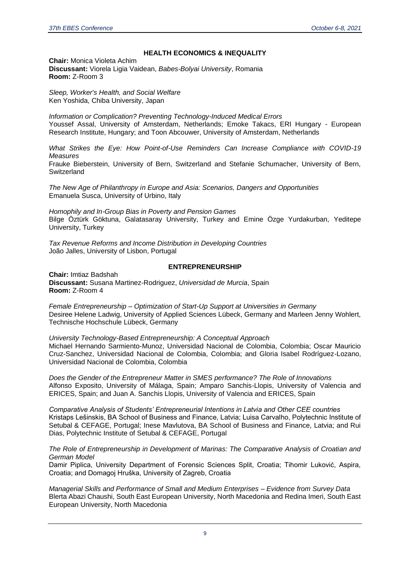#### **HEALTH ECONOMICS & INEQUALITY**

**Chair:** Monica Violeta Achim **Discussant:** Viorela Ligia Vaidean, *Babes-Bolyai University*, Romania **Room:** Z-Room 3

*Sleep, Worker's Health, and Social Welfare* Ken Yoshida, Chiba University, Japan

*Information or Complication? Preventing Technology-Induced Medical Errors* Youssef Assal, University of Amsterdam, Netherlands; Emoke Takacs, ERI Hungary - European Research Institute, Hungary; and Toon Abcouwer, University of Amsterdam, Netherlands

*What Strikes the Eye: How Point-of-Use Reminders Can Increase Compliance with COVID-19 Measures*

Frauke Bieberstein, University of Bern, Switzerland and Stefanie Schumacher, University of Bern, **Switzerland** 

*The New Age of Philanthropy in Europe and Asia: Scenarios, Dangers and Opportunities* Emanuela Susca, University of Urbino, Italy

*Homophily and In-Group Bias in Poverty and Pension Games* Bilge Öztürk Göktuna, Galatasaray University, Turkey and Emine Özge Yurdakurban, Yeditepe University, Turkey

*Tax Revenue Reforms and Income Distribution in Developing Countries* João Jalles, University of Lisbon, Portugal

#### **ENTREPRENEURSHIP**

**Chair:** Imtiaz Badshah **Discussant:** Susana Martinez-Rodriguez, *Universidad de Murcia*, Spain **Room:** Z-Room 4

*Female Entrepreneurship – Optimization of Start-Up Support at Universities in Germany* Desiree Helene Ladwig, University of Applied Sciences Lübeck, Germany and Marleen Jenny Wohlert, Technische Hochschule Lübeck, Germany

*University Technology-Based Entrepreneurship: A Conceptual Approach* Michael Hernando Sarmiento-Munoz, Universidad Nacional de Colombia, Colombia; Oscar Mauricio Cruz-Sanchez, Universidad Nacional de Colombia, Colombia; and Gloria Isabel Rodríguez-Lozano, Universidad Nacional de Colombia, Colombia

*Does the Gender of the Entrepreneur Matter in SMES performance? The Role of Innovations* Alfonso Exposito, University of Málaga, Spain; Amparo Sanchis-Llopis, University of Valencia and ERICES, Spain; and Juan A. Sanchis Llopis, University of Valencia and ERICES, Spain

*Comparative Analysis of Students' Entrepreneurial Intentions in Latvia and Other CEE countries* Kristaps Lešinskis, BA School of Business and Finance, Latvia; Luisa Carvalho, Polytechnic Institute of Setubal & CEFAGE, Portugal; Inese Mavlutova, BA School of Business and Finance, Latvia; and Rui Dias, Polytechnic Institute of Setubal & CEFAGE, Portugal

*The Role of Entrepreneurship in Development of Marinas: The Comparative Analysis of Croatian and German Model*

Damir Piplica, University Department of Forensic Sciences Split, Croatia; Tihomir Luković, Aspira, Croatia; and Domagoj Hruška, University of Zagreb, Croatia

*Managerial Skills and Performance of Small and Medium Enterprises – Evidence from Survey Data* Blerta Abazi Chaushi, South East European University, North Macedonia and Redina Imeri, South East European University, North Macedonia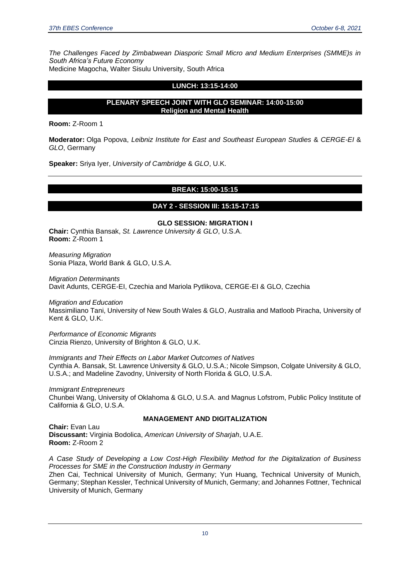*The Challenges Faced by Zimbabwean Diasporic Small Micro and Medium Enterprises (SMME)s in South Africa's Future Economy* Medicine Magocha, Walter Sisulu University, South Africa

#### **LUNCH: 13:15-14:00**

#### **PLENARY SPEECH JOINT WITH GLO SEMINAR: 14:00-15:00 Religion and Mental Health**

**Room:** Z-Room 1

**Moderator:** Olga Popova, *Leibniz Institute for East and Southeast European Studies* & *CERGE-EI* & *GLO*, Germany

**Speaker:** Sriya Iyer, *University of Cambridge* & *GLO*, U.K.

#### **BREAK: 15:00-15:15**

#### **DAY 2 - SESSION III: 15:15-17:15**

#### **GLO SESSION: MIGRATION I**

**Chair:** Cynthia Bansak, *St. Lawrence University & GLO*, U.S.A. **Room:** Z-Room 1

*Measuring Migration* Sonia Plaza, World Bank & GLO, U.S.A.

*Migration Determinants* Davit Adunts, CERGE-EI, Czechia and Mariola Pytlikova, CERGE-EI & GLO, Czechia

*Migration and Education* Massimiliano Tani, University of New South Wales & GLO, Australia and Matloob Piracha, University of Kent & GLO, U.K.

*Performance of Economic Migrants*  Cinzia Rienzo, University of Brighton & GLO, U.K.

*Immigrants and Their Effects on Labor Market Outcomes of Natives* Cynthia A. Bansak, St. Lawrence University & GLO, U.S.A.; Nicole Simpson, Colgate University & GLO, U.S.A.; and Madeline Zavodny, University of North Florida & GLO, U.S.A.

*Immigrant Entrepreneurs* Chunbei Wang, University of Oklahoma & GLO, U.S.A. and Magnus Lofstrom, Public Policy Institute of California & GLO, U.S.A.

#### **MANAGEMENT AND DIGITALIZATION**

**Chair:** Evan Lau **Discussant:** Virginia Bodolica, *American University of Sharjah*, U.A.E. **Room:** Z-Room 2

*A Case Study of Developing a Low Cost-High Flexibility Method for the Digitalization of Business Processes for SME in the Construction Industry in Germany*

Zhen Cai, Technical University of Munich, Germany; Yun Huang, Technical University of Munich, Germany; Stephan Kessler, Technical University of Munich, Germany; and Johannes Fottner, Technical University of Munich, Germany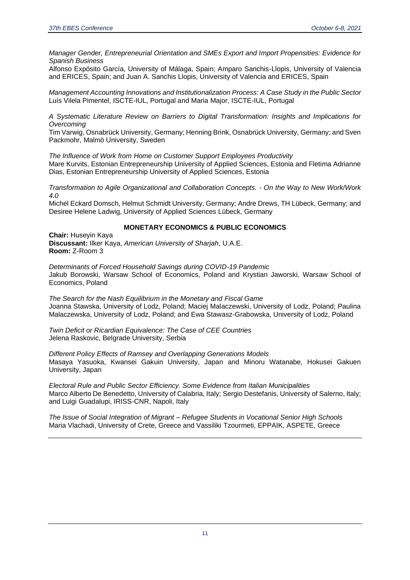*Manager Gender, Entrepreneurial Orientation and SMEs Export and Import Propensities: Evidence for Spanish Business*

Alfonso Expósito García, University of Málaga, Spain; Amparo Sanchis-Llopis, University of Valencia and ERICES, Spain; and Juan A. Sanchis Llopis, University of Valencia and ERICES, Spain

*Management Accounting Innovations and Institutionalization Process: A Case Study in the Public Sector* Luís Vilela Pimentel, ISCTE-IUL, Portugal and Maria Major, ISCTE-IUL, Portugal

*A Systematic Literature Review on Barriers to Digital Transformation: Insights and Implications for Overcoming*

Tim Varwig, Osnabrück University, Germany; Henning Brink, Osnabrück University, Germany; and Sven Packmohr, Malmö University, Sweden

*The Influence of Work from Home on Customer Support Employees Productivity*  Mare Kurvits, Estonian Entrepreneurship University of Applied Sciences, Estonia and Fletima Adrianne Dias, Estonian Entrepreneurship University of Applied Sciences, Estonia

*Transformation to Agile Organizational and Collaboration Concepts. - On the Way to New Work/Work 4.0*

Michel Eckard Domsch, Helmut Schmidt University, Germany; Andre Drews, TH Lübeck, Germany; and Desiree Helene Ladwig, University of Applied Sciences Lübeck, Germany

#### **MONETARY ECONOMICS & PUBLIC ECONOMICS**

**Chair:** Huseyin Kaya **Discussant:** Ilker Kaya, *American University of Sharjah*, U.A.E. **Room:** Z-Room 3

*Determinants of Forced Household Savings during COVID-19 Pandemic* Jakub Borowski, Warsaw School of Economics, Poland and Krystian Jaworski, Warsaw School of Economics, Poland

*The Search for the Nash Equilibrium in the Monetary and Fiscal Game* Joanna Stawska, University of Lodz, Poland; Maciej Malaczewski, University of Lodz, Poland; Paulina Malaczewska, University of Lodz, Poland; and Ewa Stawasz-Grabowska, University of Lodz, Poland

*Twin Deficit or Ricardian Equivalence: The Case of CEE Countries* Jelena Raskovic, Belgrade University, Serbia

*Different Policy Effects of Ramsey and Overlapping Generations Models* Masaya Yasuoka, Kwansei Gakuin University, Japan and Minoru Watanabe, Hokusei Gakuen University, Japan

*Electoral Rule and Public Sector Efficiency. Some Evidence from Italian Municipalities* Marco Alberto De Benedetto, University of Calabria, Italy; Sergio Destefanis, University of Salerno, Italy; and Luigi Guadalupi, IRISS-CNR, Napoli, Italy

*The Issue of Social Integration of Migrant – Refugee Students in Vocational Senior High Schools* Maria Vlachadi, University of Crete, Greece and Vassiliki Tzourmeti, EPPAIK, ASPETE, Greece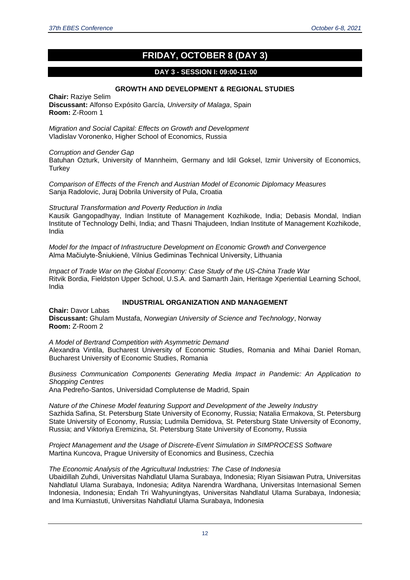### **FRIDAY, OCTOBER 8 (DAY 3)**

#### **DAY 3 - SESSION I: 09:00-11:00**

#### **GROWTH AND DEVELOPMENT & REGIONAL STUDIES**

**Chair:** Raziye Selim **Discussant:** Alfonso Expósito García, *University of Malaga*, Spain **Room:** Z-Room 1

*Migration and Social Capital: Effects on Growth and Development* Vladislav Voronenko, Higher School of Economics, Russia

#### *Corruption and Gender Gap*

Batuhan Ozturk, University of Mannheim, Germany and Idil Goksel, Izmir University of Economics, **Turkey** 

*Comparison of Effects of the French and Austrian Model of Economic Diplomacy Measures* Sanja Radolovic, Juraj Dobrila University of Pula, Croatia

#### *Structural Transformation and Poverty Reduction in India*

Kausik Gangopadhyay, Indian Institute of Management Kozhikode, India; Debasis Mondal, Indian Institute of Technology Delhi, India; and Thasni Thajudeen, Indian Institute of Management Kozhikode, India

*Model for the Impact of Infrastructure Development on Economic Growth and Convergence* Alma Mačiulyte-Šniukienė, Vilnius Gediminas Technical University, Lithuania

*Impact of Trade War on the Global Economy: Case Study of the US-China Trade War* Ritvik Bordia, Fieldston Upper School, U.S.A. and Samarth Jain, Heritage Xperiential Learning School, India

#### **INDUSTRIAL ORGANIZATION AND MANAGEMENT**

**Chair:** Davor Labas **Discussant:** Ghulam Mustafa, *Norwegian University of Science and Technology*, Norway **Room:** Z-Room 2

*A Model of Bertrand Competition with Asymmetric Demand*

Alexandra Vintila, Bucharest University of Economic Studies, Romania and Mihai Daniel Roman, Bucharest University of Economic Studies, Romania

*Business Communication Components Generating Media Impact in Pandemic: An Application to Shopping Centres*

Ana Pedreño-Santos, Universidad Complutense de Madrid, Spain

*Nature of the Chinese Model featuring Support and Development of the Jewelry Industry* Sazhida Safina, St. Petersburg State University of Economy, Russia; Natalia Ermakova, St. Petersburg State University of Economy, Russia; Ludmila Demidova, St. Petersburg State University of Economy, Russia; and Viktoriya Eremizina, St. Petersburg State University of Economy, Russia

*Project Management and the Usage of Discrete-Event Simulation in SIMPROCESS Software* Martina Kuncova, Prague University of Economics and Business, Czechia

#### *The Economic Analysis of the Agricultural Industries: The Case of Indonesia*

Ubaidillah Zuhdi, Universitas Nahdlatul Ulama Surabaya, Indonesia; Riyan Sisiawan Putra, Universitas Nahdlatul Ulama Surabaya, Indonesia; Aditya Narendra Wardhana, Universitas Internasional Semen Indonesia, Indonesia; Endah Tri Wahyuningtyas, Universitas Nahdlatul Ulama Surabaya, Indonesia; and Ima Kurniastuti, Universitas Nahdlatul Ulama Surabaya, Indonesia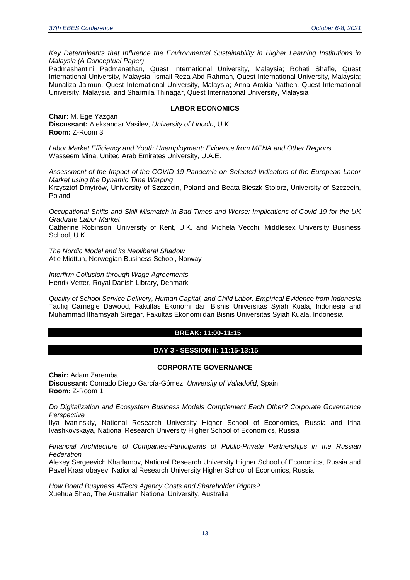*Key Determinants that Influence the Environmental Sustainability in Higher Learning Institutions in Malaysia (A Conceptual Paper)*

Padmashantini Padmanathan, Quest International University, Malaysia; Rohati Shafie, Quest International University, Malaysia; Ismail Reza Abd Rahman, Quest International University, Malaysia; Munaliza Jaimun, Quest International University, Malaysia; Anna Arokia Nathen, Quest International University, Malaysia; and Sharmila Thinagar, Quest International University, Malaysia

#### **LABOR ECONOMICS**

**Chair:** M. Ege Yazgan **Discussant:** Aleksandar Vasilev, *University of Lincoln*, U.K. **Room:** Z-Room 3

*Labor Market Efficiency and Youth Unemployment: Evidence from MENA and Other Regions* Wasseem Mina, United Arab Emirates University, U.A.E.

*Assessment of the Impact of the COVID-19 Pandemic on Selected Indicators of the European Labor Market using the Dynamic Time Warping* Krzysztof Dmytrów, University of Szczecin, Poland and Beata Bieszk-Stolorz, University of Szczecin, Poland

*Occupational Shifts and Skill Mismatch in Bad Times and Worse: Implications of Covid-19 for the UK Graduate Labor Market*

Catherine Robinson, University of Kent, U.K. and Michela Vecchi, Middlesex University Business School, U.K.

*The Nordic Model and its Neoliberal Shadow* Atle Midttun, Norwegian Business School, Norway

*Interfirm Collusion through Wage Agreements* Henrik Vetter, Royal Danish Library, Denmark

*Quality of School Service Delivery, Human Capital, and Child Labor: Empirical Evidence from Indonesia* Taufiq Carnegie Dawood, Fakultas Ekonomi dan Bisnis Universitas Syiah Kuala, Indonesia and Muhammad Ilhamsyah Siregar, Fakultas Ekonomi dan Bisnis Universitas Syiah Kuala, Indonesia

#### **BREAK: 11:00-11:15**

#### **DAY 3 - SESSION II: 11:15-13:15**

#### **CORPORATE GOVERNANCE**

**Chair:** Adam Zaremba **Discussant:** Conrado Diego García-Gómez, *University of Valladolid*, Spain **Room:** Z-Room 1

*Do Digitalization and Ecosystem Business Models Complement Each Other? Corporate Governance Perspective*

Ilya Ivaninskiy, National Research University Higher School of Economics, Russia and Irina Ivashkovskaya, National Research University Higher School of Economics, Russia

*Financial Architecture of Companies-Participants of Public-Private Partnerships in the Russian Federation*

Alexey Sergeevich Kharlamov, National Research University Higher School of Economics, Russia and Pavel Krasnobayev, National Research University Higher School of Economics, Russia

*How Board Busyness Affects Agency Costs and Shareholder Rights?* Xuehua Shao, The Australian National University, Australia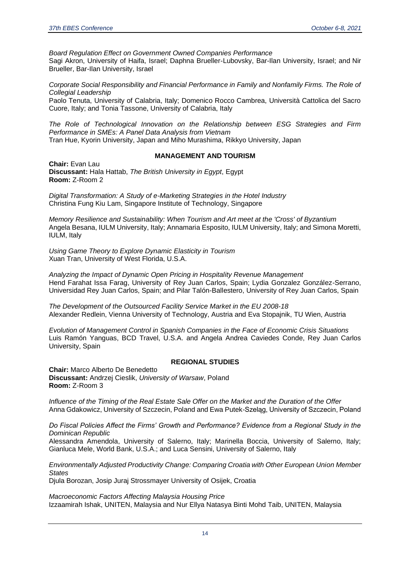*Board Regulation Effect on Government Owned Companies Performance*

Sagi Akron, University of Haifa, Israel; Daphna Brueller-Lubovsky, Bar-Ilan University, Israel; and Nir Brueller, Bar-Ilan University, Israel

*Corporate Social Responsibility and Financial Performance in Family and Nonfamily Firms. The Role of Collegial Leadership*

Paolo Tenuta, University of Calabria, Italy; Domenico Rocco Cambrea, Università Cattolica del Sacro Cuore, Italy; and Tonia Tassone, University of Calabria, Italy

*The Role of Technological Innovation on the Relationship between ESG Strategies and Firm Performance in SMEs: A Panel Data Analysis from Vietnam*

Tran Hue, Kyorin University, Japan and Miho Murashima, Rikkyo University, Japan

#### **MANAGEMENT AND TOURISM**

**Chair:** Evan Lau **Discussant:** Hala Hattab, *The British University in Egypt*, Egypt **Room:** Z-Room 2

*Digital Transformation: A Study of e-Marketing Strategies in the Hotel Industry* Christina Fung Kiu Lam, Singapore Institute of Technology, Singapore

*Memory Resilience and Sustainability: When Tourism and Art meet at the 'Cross' of Byzantium* Angela Besana, IULM University, Italy; Annamaria Esposito, IULM University, Italy; and Simona Moretti, IULM, Italy

*Using Game Theory to Explore Dynamic Elasticity in Tourism* Xuan Tran, University of West Florida, U.S.A.

*Analyzing the Impact of Dynamic Open Pricing in Hospitality Revenue Management* Hend Farahat Issa Farag, University of Rey Juan Carlos, Spain; Lydia Gonzalez González-Serrano, Universidad Rey Juan Carlos, Spain; and Pilar Talón-Ballestero, University of Rey Juan Carlos, Spain

*The Development of the Outsourced Facility Service Market in the EU 2008-18* Alexander Redlein, Vienna University of Technology, Austria and Eva Stopajnik, TU Wien, Austria

*Evolution of Management Control in Spanish Companies in the Face of Economic Crisis Situations* Luis Ramón Yanguas, BCD Travel, U.S.A. and Angela Andrea Caviedes Conde, Rey Juan Carlos University, Spain

#### **REGIONAL STUDIES**

**Chair:** Marco Alberto De Benedetto **Discussant:** Andrzej Cieslik, *University of Warsaw*, Poland **Room:** Z-Room 3

*Influence of the Timing of the Real Estate Sale Offer on the Market and the Duration of the Offer* Anna Gdakowicz, University of Szczecin, Poland and Ewa Putek-Szeląg, University of Szczecin, Poland

*Do Fiscal Policies Affect the Firms' Growth and Performance? Evidence from a Regional Study in the Dominican Republic*

Alessandra Amendola, University of Salerno, Italy; Marinella Boccia, University of Salerno, Italy; Gianluca Mele, World Bank, U.S.A.; and Luca Sensini, University of Salerno, Italy

*Environmentally Adjusted Productivity Change: Comparing Croatia with Other European Union Member States*

Djula Borozan, Josip Juraj Strossmayer University of Osijek, Croatia

*Macroeconomic Factors Affecting Malaysia Housing Price* Izzaamirah Ishak, UNITEN, Malaysia and Nur Ellya Natasya Binti Mohd Taib, UNITEN, Malaysia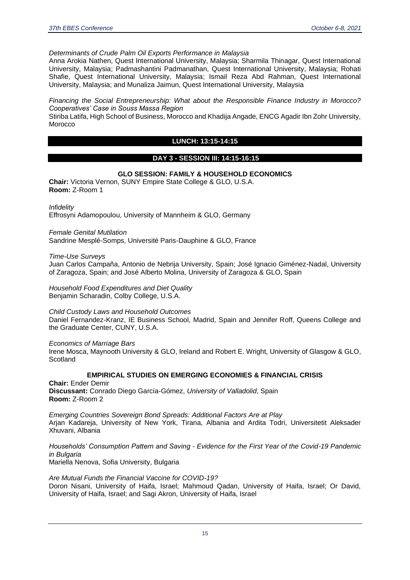*Determinants of Crude Palm Oil Exports Performance in Malaysia*

Anna Arokia Nathen, Quest International University, Malaysia; Sharmila Thinagar, Quest International University, Malaysia; Padmashantini Padmanathan, Quest International University, Malaysia; Rohati Shafie, Quest International University, Malaysia; Ismail Reza Abd Rahman, Quest International University, Malaysia; and Munaliza Jaimun, Quest International University, Malaysia

*Financing the Social Entrepreneurship: What about the Responsible Finance Industry in Morocco? Cooperatives' Case in Souss Massa Region*

Stiriba Latifa, High School of Business, Morocco and Khadija Angade, ENCG Agadir Ibn Zohr University, Morocco

#### **LUNCH: 13:15-14:15**

#### **DAY 3 - SESSION III: 14:15-16:15**

#### **GLO SESSION: FAMILY & HOUSEHOLD ECONOMICS**

**Chair:** Victoria Vernon, SUNY Empire State College & GLO, U.S.A. **Room:** Z-Room 1

*Infidelity*  Effrosyni Adamopoulou, University of Mannheim & GLO, Germany

*Female Genital Mutilation*

Sandrine Mesplé-Somps, Université Paris-Dauphine & GLO, France

*Time-Use Surveys*

Juan Carlos Campaña, Antonio de Nebrija University, Spain; José Ignacio Giménez-Nadal, University of Zaragoza, Spain; and José Alberto Molina, University of Zaragoza & GLO, Spain

*Household Food Expenditures and Diet Quality* Benjamin Scharadin, Colby College, U.S.A.

*Child Custody Laws and Household Outcomes* 

Daniel Fernandez-Kranz, IE Business School, Madrid, Spain and Jennifer Roff, Queens College and the Graduate Center, CUNY, U.S.A.

*Economics of Marriage Bars* 

Irene Mosca, Maynooth University & GLO, Ireland and Robert E. Wright, University of Glasgow & GLO, **Scotland** 

**EMPIRICAL STUDIES ON EMERGING ECONOMIES & FINANCIAL CRISIS**

**Chair:** Ender Demir **Discussant:** Conrado Diego García-Gómez, *University of Valladolid*, Spain **Room:** Z-Room 2

*Emerging Countries Sovereign Bond Spreads: Additional Factors Are at Play* Arjan Kadareja, University of New York, Tirana, Albania and Ardita Todri, Universitetit Aleksader Xhuvani, Albania

*Households' Consumption Pattern and Saving - Evidence for the First Year of the Covid-19 Pandemic in Bulgaria*

Mariella Nenova, Sofia University, Bulgaria

*Are Mutual Funds the Financial Vaccine for COVID-19?* Doron Nisani, University of Haifa, Israel; Mahmoud Qadan, University of Haifa, Israel; Or David, University of Haifa, Israel; and Sagi Akron, University of Haifa, Israel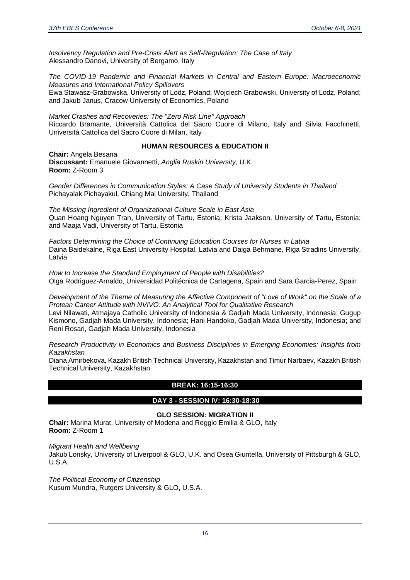*Insolvency Regulation and Pre-Crisis Alert as Self-Regulation: The Case of Italy* Alessandro Danovi, University of Bergamo, Italy

*The COVID-19 Pandemic and Financial Markets in Central and Eastern Europe: Macroeconomic Measures and International Policy Spillovers* Ewa Stawasz-Grabowska, University of Lodz, Poland; Wojciech Grabowski, University of Lodz, Poland;

*Market Crashes and Recoveries: The "Zero Risk Line" Approach* Riccardo Bramante, Università Cattolica del Sacro Cuore di Milano, Italy and Silvia Facchinetti, Università Cattolica del Sacro Cuore di Milan, Italy

#### **HUMAN RESOURCES & EDUCATION II**

**Chair:** Angela Besana **Discussant:** Emanuele Giovannetti, *Anglia Ruskin University*, U.K. **Room:** Z-Room 3

and Jakub Janus, Cracow University of Economics, Poland

*Gender Differences in Communication Styles: A Case Study of University Students in Thailand* Pichayalak Pichayakul, Chiang Mai University, Thailand

*The Missing Ingredient of Organizational Culture Scale in East Asia* Quan Hoang Nguyen Tran, University of Tartu, Estonia; Krista Jaakson, University of Tartu, Estonia; and Maaja Vadi, University of Tartu, Estonia

*Factors Determining the Choice of Continuing Education Courses for Nurses in Latvia* Daina Baidekalne, Riga East University Hospital, Latvia and Daiga Behmane, Riga Stradins University, Latvia

*How to Increase the Standard Employment of People with Disabilities?* Olga Rodriguez-Arnaldo, Universidad Politécnica de Cartagena, Spain and Sara Garcia-Perez, Spain

*Development of the Theme of Measuring the Affective Component of "Love of Work" on the Scale of a Protean Career Attitude with NVIVO: An Analytical Tool for Qualitative Research* Levi Nilawati, Atmajaya Catholic University of Indonesia & Gadjah Mada University, Indonesia; Gugup Kismono, Gadjah Mada University, Indonesia; Hani Handoko, Gadjah Mada University, Indonesia; and Reni Rosari, Gadjah Mada University, Indonesia

*Research Productivity in Economics and Business Disciplines in Emerging Economies: Insights from Kazakhstan*

Diana Amirbekova, Kazakh British Technical University, Kazakhstan and Timur Narbaev, Kazakh British Technical University, Kazakhstan

#### **BREAK: 16:15-16:30**

#### **DAY 3 - SESSION IV: 16:30-18:30**

#### **GLO SESSION: MIGRATION II**

**Chair:** Marina Murat, University of Modena and Reggio Emilia & GLO, Italy **Room:** Z-Room 1

*Migrant Health and Wellbeing* 

Jakub Lonsky, University of Liverpool & GLO, U.K. and Osea Giuntella, University of Pittsburgh & GLO, U.S.A.

*The Political Economy of Citizenship*  Kusum Mundra, Rutgers University & GLO, U.S.A.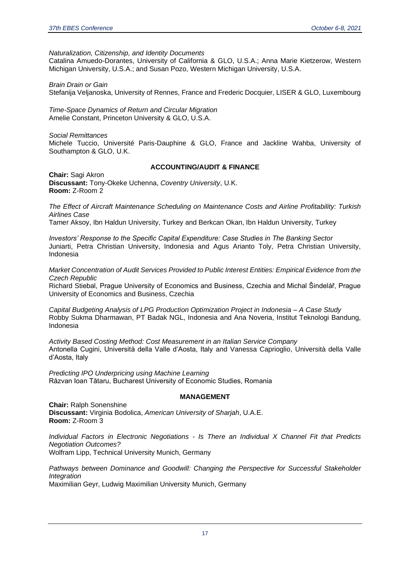*Naturalization, Citizenship, and Identity Documents*

Catalina Amuedo-Dorantes, University of California & GLO, U.S.A.; Anna Marie Kietzerow, Western Michigan University, U.S.A.; and Susan Pozo, Western Michigan University, U.S.A.

*Brain Drain or Gain* Stefanija Veljanoska, University of Rennes, France and Frederic Docquier, LISER & GLO, Luxembourg

*Time-Space Dynamics of Return and Circular Migration* Amelie Constant, Princeton University & GLO, U.S.A.

*Social Remittances* 

Michele Tuccio, Université Paris-Dauphine & GLO, France and Jackline Wahba, University of Southampton & GLO, U.K.

#### **ACCOUNTING/AUDIT & FINANCE**

**Chair:** Sagi Akron **Discussant:** Tony-Okeke Uchenna, *Coventry University*, U.K. **Room:** Z-Room 2

*The Effect of Aircraft Maintenance Scheduling on Maintenance Costs and Airline Profitability: Turkish Airlines Case*

Tamer Aksoy, Ibn Haldun University, Turkey and Berkcan Okan, Ibn Haldun University, Turkey

*Investors' Response to the Specific Capital Expenditure: Case Studies in The Banking Sector* Juniarti, Petra Christian University, Indonesia and Agus Arianto Toly, Petra Christian University, Indonesia

*Market Concentration of Audit Services Provided to Public Interest Entities: Empirical Evidence from the Czech Republic*

Richard Stiebal, Prague University of Economics and Business, Czechia and Michal Šindelář, Prague University of Economics and Business, Czechia

*Capital Budgeting Analysis of LPG Production Optimization Project in Indonesia – A Case Study* Robby Sukma Dharmawan, PT Badak NGL, Indonesia and Ana Noveria, Institut Teknologi Bandung, Indonesia

*Activity Based Costing Method: Cost Measurement in an Italian Service Company* Antonella Cugini, Università della Valle d'Aosta, Italy and Vanessa Caprioglio, Università della Valle d'Aosta, Italy

*Predicting IPO Underpricing using Machine Learning* Răzvan Ioan Tătaru, Bucharest University of Economic Studies, Romania

#### **MANAGEMENT**

**Chair:** Ralph Sonenshine **Discussant:** Virginia Bodolica, *American University of Sharjah*, U.A.E. **Room:** Z-Room 3

*Individual Factors in Electronic Negotiations - Is There an Individual X Channel Fit that Predicts Negotiation Outcomes?* Wolfram Lipp, Technical University Munich, Germany

*Pathways between Dominance and Goodwill: Changing the Perspective for Successful Stakeholder Integration* Maximilian Geyr, Ludwig Maximilian University Munich, Germany